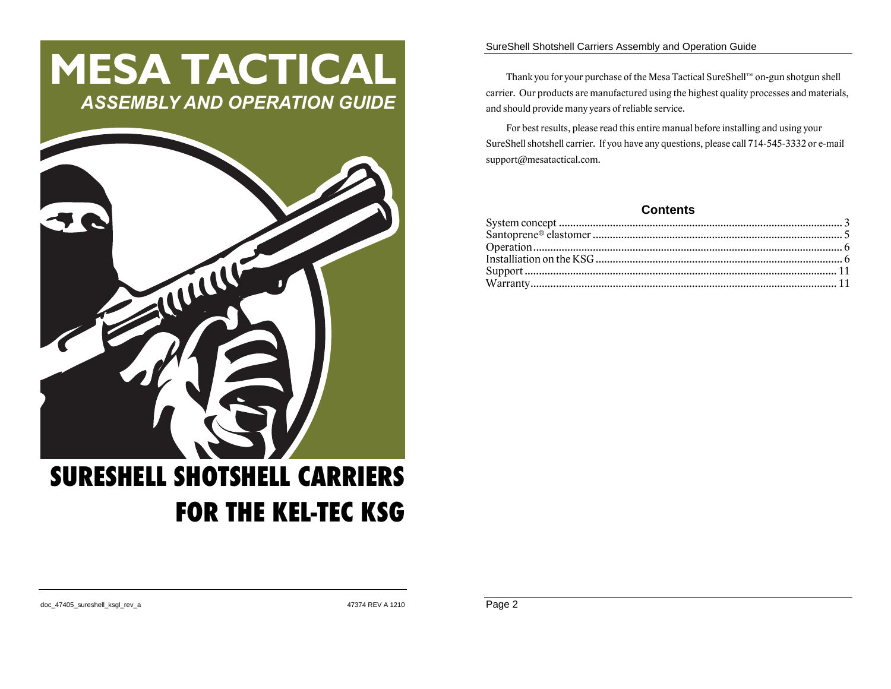# **MESA TACTICAL** *ASSEMBLY AND OPERATION GUIDE*



#### SureShell Shotshell Carriers Assembly and Operation Guide

Thank you for your purchase of the Mesa Tactical SureShell™ on-gun shotgun shell carrier. Our products are manufactured using the highest quality processes and materials, and should provide many years of reliable service.

For best results, please read this entire manual before installing and using your SureShell shotshell carrier. If you have any questions, please call 714-545-3332 or e-mail support@mesatactical.com.

## **Contents**

doc\_47405\_sureshell\_ksgl\_rev\_a 47374 REV A 1210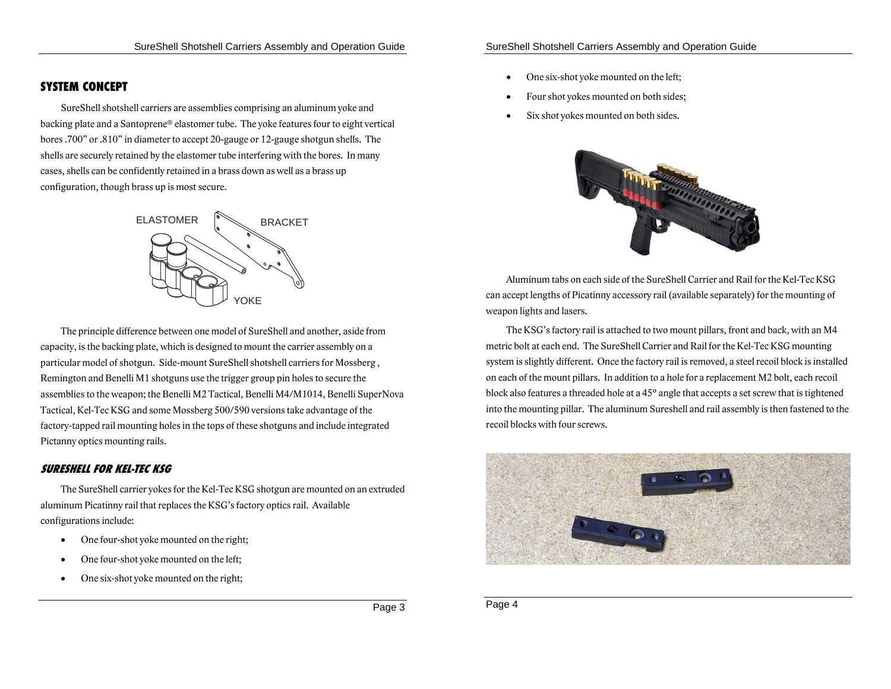## **SYSTEM CONCEPT**

SureShell shotshell carriers are assemblies comprising an aluminum yoke and backing plate and a Santoprene® elastomer tube. The yoke features four to eight vertical bores .700" or .810" in diameter to accept 20-gauge or 12-gauge shotgun shells. The shells are securely retained by the elastomer tube interfering with the bores. In many cases, shells can be confidently retained in a brass down as well as a brass up configuration, though brass up is most secure.



The principle difference between one model of SureShell and another, aside from capacity, is the backing plate, which is designed to mount the carrier assembly on a particular model of shotgun. Side-mount SureShell shotshell carriers for Mossberg , Remington and Benelli M1 shotguns use the trigger group pin holes to secure the assemblies to the weapon; the Benelli M2 Tactical, Benelli M4/M1014, Benelli SuperNova Tactical, Kel-Tec KSG and some Mossberg 500/590 versions take advantage of the factory-tapped rail mounting holes in the tops of these shotguns and include integrated Pictanny optics mounting rails.

#### **SURESHELL FOR KEL-TEC KSG**

The SureShell carrier yokes for the Kel-Tec KSG shotgun are mounted on an extruded aluminum Picatinny rail that replaces the KSG's factory optics rail. Available configurations include:

- $\bullet$ One four-shot yoke mounted on the right;
- c One four-shot yoke mounted on the left;
- c One six-shot yoke mounted on the right;
- c One six-shot yoke mounted on the left;
- c Four shot yokes mounted on both sides;
- c Six shot yokes mounted on both sides.



Aluminum tabs on each side of the SureShell Carrier and Rail for the Kel-Tec KSG can accept lengths of Picatinny accessory rail (available separately) for the mounting of weapon lights and lasers.

The KSG's factory rail is attached to two mount pillars, front and back, with an M4 metric bolt at each end. The SureShell Carrier and Rail for the Kel-Tec KSG mounting system is slightly different. Once the factory rail is removed, a steel recoil block is installed on each of the mount pillars. In addition to a hole for a replacement M2 bolt, each recoil block also features a threaded hole at a 45° angle that accepts a set screw that is tightened into the mounting pillar. The aluminum Sureshell and rail assembly is then fastened to the recoil blocks with four screws.



Page 4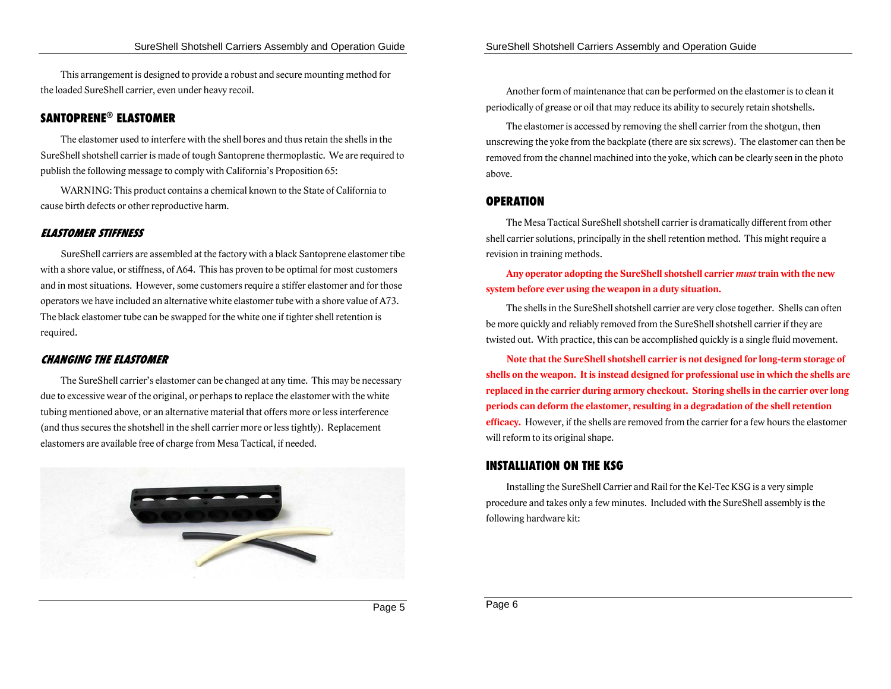This arrangement is designed to provide a robust and secure mounting method for the loaded SureShell carrier, even under heavy recoil.

## **SANTOPRENE® ELASTOMER**

The elastomer used to interfere with the shell bores and thus retain the shells in the SureShell shotshell carrier is made of tough Santoprene thermoplastic. We are required to publish the following message to comply with California's Proposition 65:

WARNING: This product contains a chemical known to the State of California to cause birth defects or other reproductive harm.

#### **ELASTOMER STIFFNESS**

SureShell carriers are assembled at the factory with a black Santoprene elastomer tibe with a shore value, or stiffness, of A64. This has proven to be optimal for most customers and in most situations. However, some customers require a stiffer elastomer and for those operators we have included an alternative white elastomer tube with a shore value of A73. The black elastomer tube can be swapped for the white one if tighter shell retention is required.

#### **CHANGING THE ELASTOMER**

The SureShell carrier's elastomer can be changed at any time. This may be necessary due to excessive wear of the original, or perhaps to replace the elastomer with the white tubing mentioned above, or an alternative material that offers more or less interference (and thus secures the shotshell in the shell carrier more or less tightly). Replacement elastomers are available free of charge from Mesa Tactical, if needed.



Another form of maintenance that can be performed on the elastomer is to clean it periodically of grease or oil that may reduce its ability to securely retain shotshells.

The elastomer is accessed by removing the shell carrier from the shotgun, then unscrewing the yoke from the backplate (there are six screws). The elastomer can then be removed from the channel machined into the yoke, which can be clearly seen in the photo above.

#### **OPERATION**

The Mesa Tactical SureShell shotshell carrier is dramatically different from other shell carrier solutions, principally in the shell retention method. This might require a revision in training methods.

## **Any operator adopting the SureShell shotshell carrier** *must* **train with the new system before ever using the weapon in a duty situation.**

The shells in the SureShell shotshell carrier are very close together. Shells can often be more quickly and reliably removed from the SureShell shotshell carrier if they are twisted out. With practice, this can be accomplished quickly is a single fluid movement.

**Note that the SureShell shotshell carrier is not designed for long-term storage of shells on the weapon. It is instead designed for professional use in which the shells are replaced in the carrier during armory checkout. Storing shells in the carrier over long periods can deform the elastomer, resulting in a degradation of the shell retention efficacy.** However, if the shells are removed from the carrier for a few hours the elastomer will reform to its original shape.

### **INSTALLIATION ON THE KSG**

Installing the SureShell Carrier and Rail for the Kel-Tec KSG is a very simple procedure and takes only a few minutes. Included with the SureShell assembly is the following hardware kit: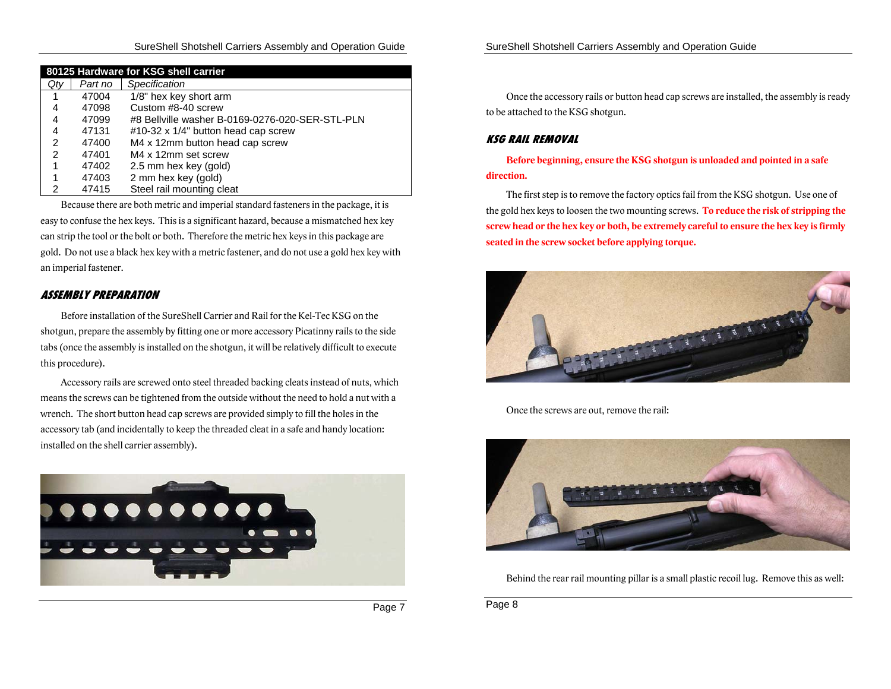#### SureShell Shotshell Carriers Assembly and Operation Guide

| 80125 Hardware for KSG shell carrier |         |                                                 |  |
|--------------------------------------|---------|-------------------------------------------------|--|
| Qty                                  | Part no | Specification                                   |  |
| 1                                    | 47004   | 1/8" hex key short arm                          |  |
| 4                                    | 47098   | Custom #8-40 screw                              |  |
| 4                                    | 47099   | #8 Bellville washer B-0169-0276-020-SER-STL-PLN |  |
| 4                                    | 47131   | #10-32 x 1/4" button head cap screw             |  |
| 2                                    | 47400   | M4 x 12mm button head cap screw                 |  |
| 2                                    | 47401   | M4 x 12mm set screw                             |  |
| 1                                    | 47402   | 2.5 mm hex key (gold)                           |  |
|                                      | 47403   | 2 mm hex key (gold)                             |  |
| 2                                    | 47415   | Steel rail mounting cleat                       |  |

Because there are both metric and imperial standard fasteners in the package, it is easy to confuse the hex keys. This is a significant hazard, because a mismatched hex key can strip the tool or the bolt or both. Therefore the metric hex keys in this package are gold. Do not use a black hex key with a metric fastener, and do not use a gold hex key with an imperial fastener.

#### **ASSEMBLY PREPARATION**

Before installation of the SureShell Carrier and Rail for the Kel-Tec KSG on the shotgun, prepare the assembly by fitting one or more accessory Picatinny rails to the side tabs (once the assembly is installed on the shotgun, it will be relatively difficult to execute this procedure).

Accessory rails are screwed onto steel threaded backing cleats instead of nuts, which means the screws can be tightened from the outside without the need to hold a nut with a wrench. The short button head cap screws are provided simply to fill the holes in the accessory tab (and incidentally to keep the threaded cleat in a safe and handy location: installed on the shell carrier assembly).



Page 7

Once the accessory rails or button head cap screws are installed, the assembly is ready to be attached to the KSG shotgun.

#### **KSG RAIL REMOVAL**

**Before beginning, ensure the KSG shotgun is unloaded and pointed in a safe direction.** 

The first step is to remove the factory optics fail from the KSG shotgun. Use one of the gold hex keys to loosen the two mounting screws. **To reduce the risk of stripping the screw head or the hex key or both, be extremely careful to ensure the hex key is firmly seated in the screw socket before applying torque.** 



Once the screws are out, remove the rail:



Behind the rear rail mounting pillar is a small plastic recoil lug. Remove this as well:

Page 8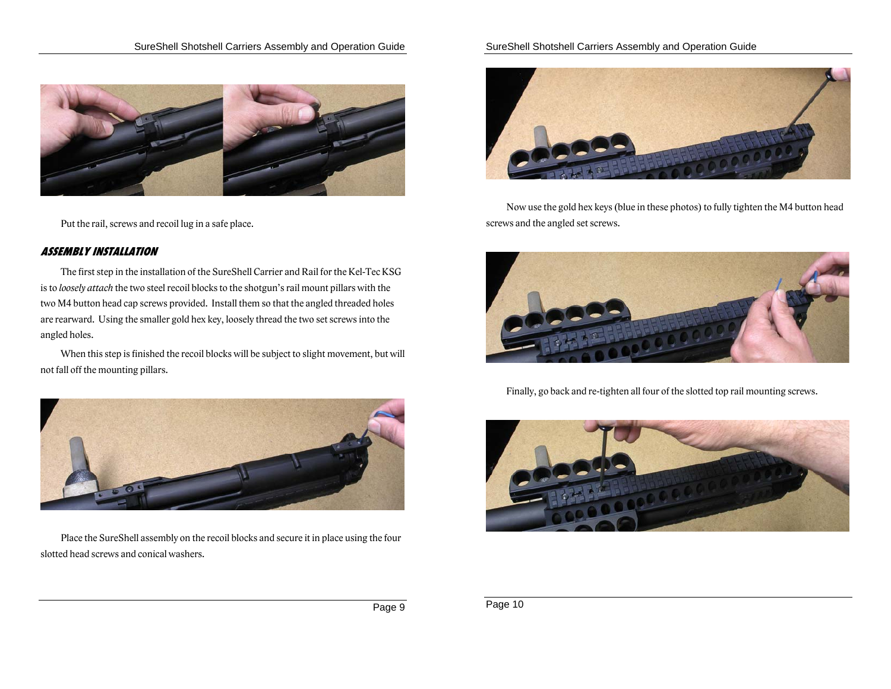

Put the rail, screws and recoil lug in a safe place.

## **ASSEMBLY INSTALLATION**

The first step in the installation of the SureShell Carrier and Rail for the Kel-Tec KSG is to *loosely attach* the two steel recoil blocks to the shotgun's rail mount pillars with the two M4 button head cap screws provided. Install them so that the angled threaded holes are rearward. Using the smaller gold hex key, loosely thread the two set screws into the angled holes.

When this step is finished the recoil blocks will be subject to slight movement, but will not fall off the mounting pillars.



Place the SureShell assembly on the recoil blocks and secure it in place using the four slotted head screws and conical washers.

## SureShell Shotshell Carriers Assembly and Operation Guide



Now use the gold hex keys (blue in these photos) to fully tighten the M4 button head screws and the angled set screws.



Finally, go back and re-tighten all four of the slotted top rail mounting screws.